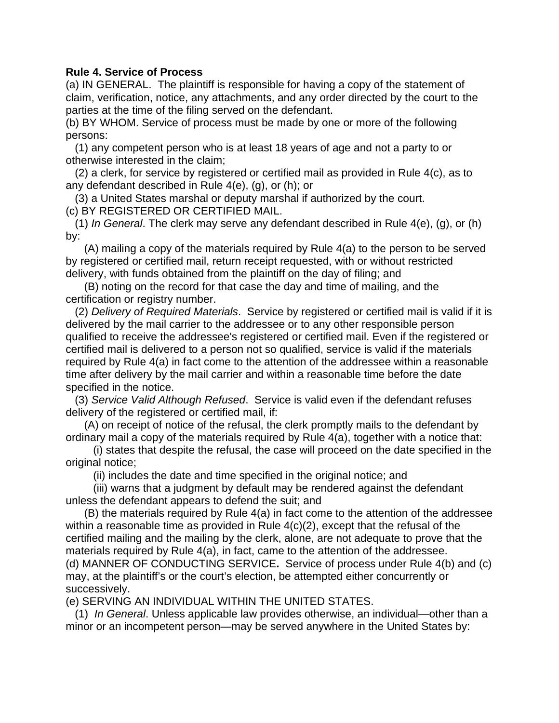## **Rule 4. Service of Process**

(a) IN GENERAL. The plaintiff is responsible for having a copy of the statement of claim, verification, notice, any attachments, and any order directed by the court to the parties at the time of the filing served on the defendant.

(b) BY WHOM. Service of process must be made by one or more of the following persons:

 (1) any competent person who is at least 18 years of age and not a party to or otherwise interested in the claim;

 (2) a clerk, for service by registered or certified mail as provided in Rule 4(c), as to any defendant described in Rule 4(e), (g), or (h); or

 (3) a United States marshal or deputy marshal if authorized by the court. (c) BY REGISTERED OR CERTIFIED MAIL.

 (1) *In General*. The clerk may serve any defendant described in Rule 4(e), (g), or (h) by:

 (A) mailing a copy of the materials required by Rule 4(a) to the person to be served by registered or certified mail, return receipt requested, with or without restricted delivery, with funds obtained from the plaintiff on the day of filing; and

 (B) noting on the record for that case the day and time of mailing, and the certification or registry number.

 (2) *Delivery of Required Materials*. Service by registered or certified mail is valid if it is delivered by the mail carrier to the addressee or to any other responsible person qualified to receive the addressee's registered or certified mail. Even if the registered or certified mail is delivered to a person not so qualified, service is valid if the materials required by Rule 4(a) in fact come to the attention of the addressee within a reasonable time after delivery by the mail carrier and within a reasonable time before the date specified in the notice.

 (3) *Service Valid Although Refused*. Service is valid even if the defendant refuses delivery of the registered or certified mail, if:

 (A) on receipt of notice of the refusal, the clerk promptly mails to the defendant by ordinary mail a copy of the materials required by Rule 4(a), together with a notice that:

 (i) states that despite the refusal, the case will proceed on the date specified in the original notice;

(ii) includes the date and time specified in the original notice; and

 (iii) warns that a judgment by default may be rendered against the defendant unless the defendant appears to defend the suit; and

 (B) the materials required by Rule 4(a) in fact come to the attention of the addressee within a reasonable time as provided in Rule  $4(c)(2)$ , except that the refusal of the certified mailing and the mailing by the clerk, alone, are not adequate to prove that the materials required by Rule 4(a), in fact, came to the attention of the addressee. (d) MANNER OF CONDUCTING SERVICE**.** Service of process under Rule 4(b) and (c) may, at the plaintiff's or the court's election, be attempted either concurrently or successively.

(e) SERVING AN INDIVIDUAL WITHIN THE UNITED STATES.

 (1) *In General*. Unless applicable law provides otherwise, an individual—other than a minor or an incompetent person—may be served anywhere in the United States by: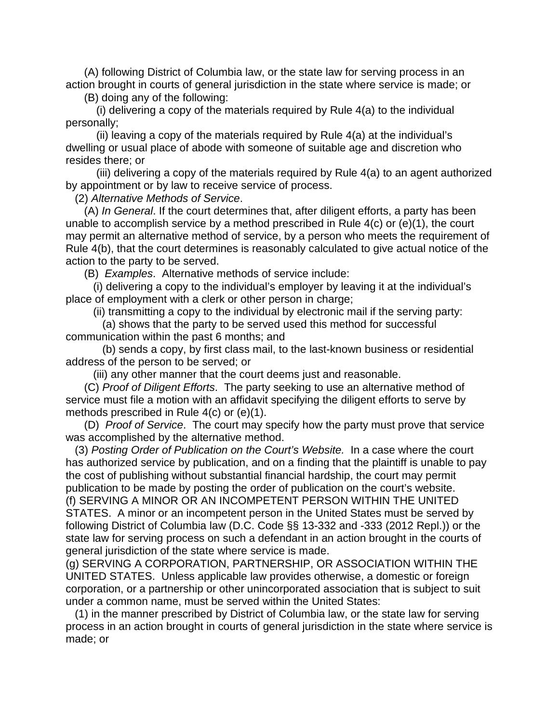(A) following District of Columbia law, or the state law for serving process in an action brought in courts of general jurisdiction in the state where service is made; or

(B) doing any of the following:

 (i) delivering a copy of the materials required by Rule 4(a) to the individual personally;

 (ii) leaving a copy of the materials required by Rule 4(a) at the individual's dwelling or usual place of abode with someone of suitable age and discretion who resides there; or

 (iii) delivering a copy of the materials required by Rule 4(a) to an agent authorized by appointment or by law to receive service of process.

(2) *Alternative Methods of Service*.

 (A) *In General*. If the court determines that, after diligent efforts, a party has been unable to accomplish service by a method prescribed in Rule 4(c) or (e)(1), the court may permit an alternative method of service, by a person who meets the requirement of Rule 4(b), that the court determines is reasonably calculated to give actual notice of the action to the party to be served.

(B) *Examples*. Alternative methods of service include:

 (i) delivering a copy to the individual's employer by leaving it at the individual's place of employment with a clerk or other person in charge;

(ii) transmitting a copy to the individual by electronic mail if the serving party:

 (a) shows that the party to be served used this method for successful communication within the past 6 months; and

 (b) sends a copy, by first class mail, to the last-known business or residential address of the person to be served; or

(iii) any other manner that the court deems just and reasonable.

 (C) *Proof of Diligent Efforts*. The party seeking to use an alternative method of service must file a motion with an affidavit specifying the diligent efforts to serve by methods prescribed in Rule 4(c) or (e)(1).

 (D) *Proof of Service*. The court may specify how the party must prove that service was accomplished by the alternative method.

 (3) *Posting Order of Publication on the Court's Website.* In a case where the court has authorized service by publication, and on a finding that the plaintiff is unable to pay the cost of publishing without substantial financial hardship, the court may permit publication to be made by posting the order of publication on the court's website. (f) SERVING A MINOR OR AN INCOMPETENT PERSON WITHIN THE UNITED STATES. A minor or an incompetent person in the United States must be served by following District of Columbia law (D.C. Code §§ 13-332 and -333 (2012 Repl.)) or the state law for serving process on such a defendant in an action brought in the courts of general jurisdiction of the state where service is made.

(g) SERVING A CORPORATION, PARTNERSHIP, OR ASSOCIATION WITHIN THE UNITED STATES. Unless applicable law provides otherwise, a domestic or foreign corporation, or a partnership or other unincorporated association that is subject to suit under a common name, must be served within the United States:

 (1) in the manner prescribed by District of Columbia law, or the state law for serving process in an action brought in courts of general jurisdiction in the state where service is made; or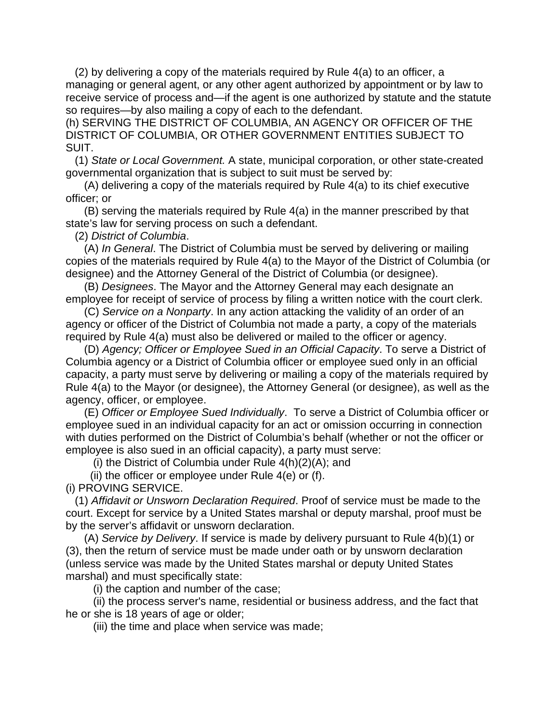(2) by delivering a copy of the materials required by Rule 4(a) to an officer, a managing or general agent, or any other agent authorized by appointment or by law to receive service of process and—if the agent is one authorized by statute and the statute so requires—by also mailing a copy of each to the defendant.

(h) SERVING THE DISTRICT OF COLUMBIA, AN AGENCY OR OFFICER OF THE DISTRICT OF COLUMBIA, OR OTHER GOVERNMENT ENTITIES SUBJECT TO SUIT.

 (1) *State or Local Government.* A state, municipal corporation, or other state-created governmental organization that is subject to suit must be served by:

 (A) delivering a copy of the materials required by Rule 4(a) to its chief executive officer; or

 (B) serving the materials required by Rule 4(a) in the manner prescribed by that state's law for serving process on such a defendant.

(2) *District of Columbia*.

 (A) *In General*. The District of Columbia must be served by delivering or mailing copies of the materials required by Rule 4(a) to the Mayor of the District of Columbia (or designee) and the Attorney General of the District of Columbia (or designee).

 (B) *Designees*. The Mayor and the Attorney General may each designate an employee for receipt of service of process by filing a written notice with the court clerk.

 (C) *Service on a Nonparty*. In any action attacking the validity of an order of an agency or officer of the District of Columbia not made a party, a copy of the materials required by Rule 4(a) must also be delivered or mailed to the officer or agency.

 (D) *Agency; Officer or Employee Sued in an Official Capacity*. To serve a District of Columbia agency or a District of Columbia officer or employee sued only in an official capacity, a party must serve by delivering or mailing a copy of the materials required by Rule 4(a) to the Mayor (or designee), the Attorney General (or designee), as well as the agency, officer, or employee.

 (E) *Officer or Employee Sued Individually*. To serve a District of Columbia officer or employee sued in an individual capacity for an act or omission occurring in connection with duties performed on the District of Columbia's behalf (whether or not the officer or employee is also sued in an official capacity), a party must serve:

(i) the District of Columbia under Rule 4(h)(2)(A); and

(ii) the officer or employee under Rule  $4(e)$  or (f).

(i) PROVING SERVICE.

 (1) *Affidavit or Unsworn Declaration Required*. Proof of service must be made to the court. Except for service by a United States marshal or deputy marshal, proof must be by the server's affidavit or unsworn declaration.

 (A) *Service by Delivery*. If service is made by delivery pursuant to Rule 4(b)(1) or (3), then the return of service must be made under oath or by unsworn declaration (unless service was made by the United States marshal or deputy United States marshal) and must specifically state:

(i) the caption and number of the case;

 (ii) the process server's name, residential or business address, and the fact that he or she is 18 years of age or older;

(iii) the time and place when service was made;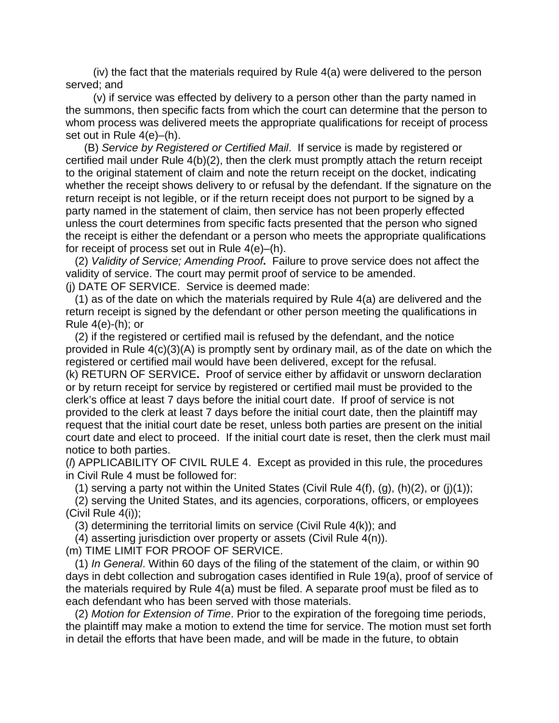(iv) the fact that the materials required by Rule 4(a) were delivered to the person served; and

 (v) if service was effected by delivery to a person other than the party named in the summons, then specific facts from which the court can determine that the person to whom process was delivered meets the appropriate qualifications for receipt of process set out in Rule 4(e)–(h).

 (B) *Service by Registered or Certified Mail*. If service is made by registered or certified mail under Rule 4(b)(2), then the clerk must promptly attach the return receipt to the original statement of claim and note the return receipt on the docket, indicating whether the receipt shows delivery to or refusal by the defendant. If the signature on the return receipt is not legible, or if the return receipt does not purport to be signed by a party named in the statement of claim, then service has not been properly effected unless the court determines from specific facts presented that the person who signed the receipt is either the defendant or a person who meets the appropriate qualifications for receipt of process set out in Rule 4(e)–(h).

 (2) *Validity of Service; Amending Proof***.** Failure to prove service does not affect the validity of service. The court may permit proof of service to be amended. (j) DATE OF SERVICE. Service is deemed made:

 (1) as of the date on which the materials required by Rule 4(a) are delivered and the return receipt is signed by the defendant or other person meeting the qualifications in Rule 4(e)-(h); or

 (2) if the registered or certified mail is refused by the defendant, and the notice provided in Rule 4(c)(3)(A) is promptly sent by ordinary mail, as of the date on which the registered or certified mail would have been delivered, except for the refusal. (k) RETURN OF SERVICE**.** Proof of service either by affidavit or unsworn declaration or by return receipt for service by registered or certified mail must be provided to the clerk's office at least 7 days before the initial court date. If proof of service is not provided to the clerk at least 7 days before the initial court date, then the plaintiff may request that the initial court date be reset, unless both parties are present on the initial court date and elect to proceed. If the initial court date is reset, then the clerk must mail notice to both parties.

(*l*) APPLICABILITY OF CIVIL RULE 4. Except as provided in this rule, the procedures in Civil Rule 4 must be followed for:

(1) serving a party not within the United States (Civil Rule  $4(f)$ ,  $(q)$ ,  $(h)(2)$ , or  $(i)(1)$ ;

 (2) serving the United States, and its agencies, corporations, officers, or employees (Civil Rule 4(i));

(3) determining the territorial limits on service (Civil Rule 4(k)); and

(4) asserting jurisdiction over property or assets (Civil Rule 4(n)).

(m) TIME LIMIT FOR PROOF OF SERVICE.

 (1) *In General*. Within 60 days of the filing of the statement of the claim, or within 90 days in debt collection and subrogation cases identified in Rule 19(a), proof of service of the materials required by Rule 4(a) must be filed. A separate proof must be filed as to each defendant who has been served with those materials.

 (2) *Motion for Extension of Time*. Prior to the expiration of the foregoing time periods, the plaintiff may make a motion to extend the time for service. The motion must set forth in detail the efforts that have been made, and will be made in the future, to obtain